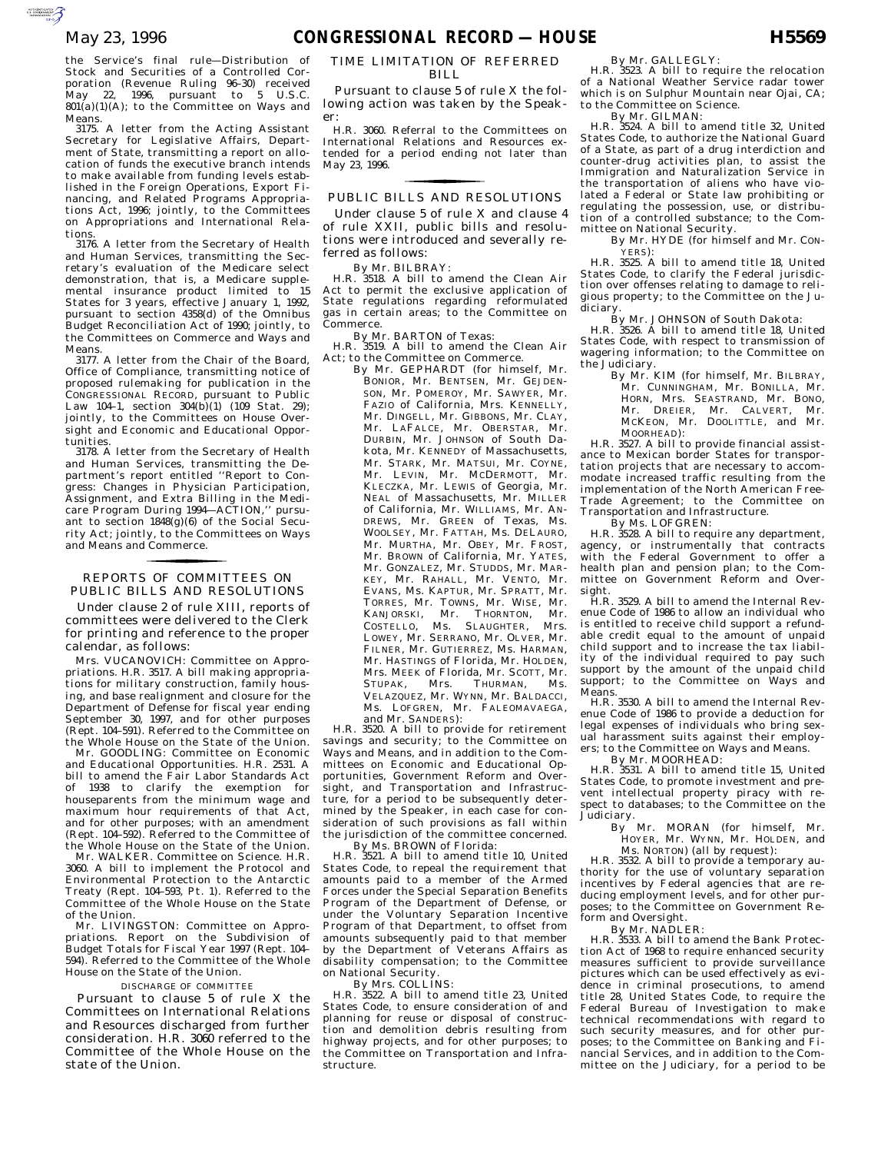the Service's final rule—Distribution of Stock and Securities of a Controlled Corporation (Revenue Ruling 96–30) received May 22, 1996, pursuant to 5 U.S.C.  $801(a)(1)(A)$ ; to the Committee on Ways and Means.

3175. A letter from the Acting Assistant Secretary for Legislative Affairs, Department of State, transmitting a report on allocation of funds the executive branch intends to make available from funding levels established in the Foreign Operations, Export Financing, and Related Programs Appropriations Act, 1996; jointly, to the Committees on Appropriations and International Relations.

3176. A letter from the Secretary of Health and Human Services, transmitting the Secretary's evaluation of the Medicare select demonstration, that is, a Medicare supplemental insurance product limited to 15 States for 3 years, effective January 1, 1992, pursuant to section 4358(d) of the Omnibus Budget Reconciliation Act of 1990; jointly, to the Committees on Commerce and Ways and Means.

3177. A letter from the Chair of the Board, Office of Compliance, transmitting notice of proposed rulemaking for publication in the CONGRESSIONAL RECORD, pursuant to Public Law 104-1, section  $304(b)(1)$  (109 Stat. 29); jointly, to the Committees on House Oversight and Economic and Educational Opportunities.

3178. A letter from the Secretary of Health and Human Services, transmitting the Department's report entitled ''Report to Congress: Changes in Physician Participation, Assignment, and Extra Billing in the Medicare Program During 1994—ACTION,'' pursuant to section  $1848(\tilde{g})(6)$  of the Social Security Act; jointly, to the Committees on Ways and Means and Commerce.

### PUBLIC BILLS AND RESOLUTIONS REPORTS OF COMMITTEES ON for the control of the control of

Under clause 2 of rule XIII, reports of committees were delivered to the Clerk for printing and reference to the proper calendar, as follows:

Mrs. VUCANOVICH: Committee on Appropriations. H.R. 3517. A bill making appropriations for military construction, family housing, and base realignment and closure for the Department of Defense for fiscal year ending September 30, 1997, and for other purposes (Rept. 104–591). Referred to the Committee on the Whole House on the State of the Union.

Mr. GOODLING: Committee on Economic and Educational Opportunities. H.R. 2531. A bill to amend the Fair Labor Standards Act of 1938 to clarify the exemption for houseparents from the minimum wage and maximum hour requirements of that Act, and for other purposes; with an amendment (Rept. 104–592). Referred to the Committee of the Whole House on the State of the Union.

Mr. WALKER. Committee on Science. H.R. 3060. A bill to implement the Protocol and Environmental Protection to the Antarctic Treaty (Rept. 104–593, Pt. 1). Referred to the Committee of the Whole House on the State of the Union.

Mr. LIVINGSTON: Committee on Appropriations. Report on the Subdivision of Budget Totals for Fiscal Year 1997 (Rept. 104– 594). Referred to the Committee of the Whole House on the State of the Union.

#### DISCHARGE OF COMMITTEE

Pursuant to clause 5 of rule X the Committees on International Relations and Resources discharged from further consideration. H.R. 3060 referred to the Committee of the Whole House on the state of the Union.

### TIME LIMITATION OF REFERRED BILL.

Pursuant to clause 5 of rule X the following action was taken by the Speaker:

H.R. 3060. Referral to the Committees on International Relations and Resources extended for a period ending not later than May 23, 1996.

## PUBLIC BILLS AND RESOLUTIONS for the control of the control of

Under clause 5 of rule X and clause 4 of rule XXII, public bills and resolutions were introduced and severally referred as follows:

By Mr. BILBRAY:

H.R. 3518. A bill to amend the Clean Air Act to permit the exclusive application of State regulations regarding reformulated gas in certain areas; to the Committee on Commerce.

By Mr. BARTON of Texas:

H.R. 3519. A bill to amend the Clean Air Act; to the Committee on Commerce.

By Mr. GEPHARDT (for himself, Mr. BONIOR, Mr. BENTSEN, Mr. GEJDEN-SON, Mr. POMEROY, Mr. SAWYER, Mr. FAZIO of California, Mrs. KENNELLY, Mr. DINGELL, Mr. GIBBONS, Mr. CLAY, Mr. LAFALCE, Mr. OBERSTAR, Mr. DURBIN, Mr. JOHNSON of South Dakota, Mr. KENNEDY of Massachusetts, Mr. STARK, Mr. MATSUI, Mr. COYNE, Mr. LEVIN, Mr. MCDERMOTT, Mr. KLECZKA, Mr. LEWIS of Georgia, Mr. NEAL of Massachusetts, Mr. MILLER of California, Mr. WILLIAMS, Mr. AN-DREWS, Mr. GREEN of Texas, Ms. WOOLSEY, Mr. FATTAH, Ms. DELAURO, Mr. MURTHA, Mr. OBEY, Mr. FROST, Mr. BROWN of California, Mr. YATES, Mr. GONZALEZ, Mr. STUDDS, Mr. MAR-KEY, Mr. RAHALL, Mr. VENTO, Mr. EVANS, Ms. KAPTUR, Mr. SPRATT, Mr. TORRES, Mr. TOWNS, Mr. WISE, Mr. KANJORSKI, Mr. THORNTON, Mr. COSTELLO, Ms. SLAUGHTER, Mrs. LOWEY, Mr. SERRANO, Mr. OLVER, Mr. FILNER, Mr. GUTIERREZ, Ms. HARMAN, Mr. HASTINGS of Florida, Mr. HOLDEN, Mrs. MEEK of Florida, Mr. SCOTT, Mr. STUPAK, Mrs. THURMAN, Ms. VELAZQUEZ, Mr. WYNN, Mr. BALDACCI, Ms. LOFGREN, Mr. FALEOMAVAEGA, and Mr. SANDERS):

H.R. 3520. A bill to provide for retirement savings and security; to the Committee on Ways and Means, and in addition to the Committees on Economic and Educational Opportunities, Government Reform and Oversight, and Transportation and Infrastructure, for a period to be subsequently determined by the Speaker, in each case for consideration of such provisions as fall within the jurisdiction of the committee concerned. By Ms. BROWN of Florida:

H.R. 3521. A bill to amend title 10, United States Code, to repeal the requirement that amounts paid to a member of the Armed Forces under the Special Separation Benefits Program of the Department of Defense, or under the Voluntary Separation Incentive Program of that Department, to offset from amounts subsequently paid to that member by the Department of Veterans Affairs as disability compensation; to the Committee on National Security.

By Mrs. COLLINS:

H.R. 3522. A bill to amend title 23, United States Code, to ensure consideration of and planning for reuse or disposal of construction and demolition debris resulting from highway projects, and for other purposes; to the Committee on Transportation and Infrastructure.

By Mr. GALLEGLY:

H.R. 3523. A bill to require the relocation of a National Weather Service radar tower which is on Sulphur Mountain near Ojai, CA: to the Committee on Science.

By Mr. GILMAN:

H.R. 3524. A bill to amend title 32, United States Code, to authorize the National Guard of a State, as part of a drug interdiction and counter-drug activities plan, to assist the Immigration and Naturalization Service in the transportation of aliens who have violated a Federal or State law prohibiting or regulating the possession, use, or distribution of a controlled substance; to the Committee on National Security.

By Mr. HYDE (for himself and Mr. CON-YERS):

H.R. 3525. A bill to amend title 18, United States Code, to clarify the Federal jurisdiction over offenses relating to damage to religious property; to the Committee on the Judiciary.

By Mr. JOHNSON of South Dakota:

H.R. 3526. A bill to amend title 18, United States Code, with respect to transmission of wagering information; to the Committee on the Judiciary.

By Mr. KIM (for himself, Mr. BILBRAY, Mr. CUNNINGHAM, Mr. BONILLA, Mr. HORN, Mrs. SEASTRAND, Mr. BONO, Mr. DREIER, Mr. CALVERT, Mr. MCKEON, Mr. DOOLITTLE, and Mr. MOORHEAD):

H.R. 3527. A bill to provide financial assistance to Mexican border States for transportation projects that are necessary to accommodate increased traffic resulting from the implementation of the North American Free-Trade Agreement; to the Committee on Transportation and Infrastructure.

By Ms. LOFGREN:

H.R. 3528. A bill to require any department, agency, or instrumentally that contracts with the Federal Government to offer a health plan and pension plan; to the Com-mittee on Government Reform and Over-

sight. H.R. 3529. A bill to amend the Internal Revenue Code of 1986 to allow an individual who is entitled to receive child support a refundable credit equal to the amount of unpaid child support and to increase the tax liability of the individual required to pay such support by the amount of the unpaid child support; to the Committee on Ways and Means.

H.R. 3530. A bill to amend the Internal Revenue Code of 1986 to provide a deduction for legal expenses of individuals who bring sexual harassment suits against their employers; to the Committee on Ways and Means.

By Mr. MOORHEAD:

H.R. 3531. A bill to amend title 15, United States Code, to promote investment and prevent intellectual property piracy with re-spect to databases; to the Committee on the Judiciary.

By Mr. MORAN (for himself, Mr. HOYER, Mr. WYNN, Mr. HOLDEN, and Ms. NORTON) (all by request):

H.R. 3532. A bill to provide a temporary authority for the use of voluntary separation incentives by Federal agencies that are reducing employment levels, and for other purposes; to the Committee on Government Reform and Oversight.

By Mr. NADLER:

H.R. 3533. A bill to amend the Bank Protection Act of 1968 to require enhanced security measures sufficient to provide surveillance pictures which can be used effectively as evidence in criminal prosecutions, to amend title 28, United States Code, to require the Federal Bureau of Investigation to make technical recommendations with regard to such security measures, and for other purposes; to the Committee on Banking and Financial Services, and in addition to the Committee on the Judiciary, for a period to be